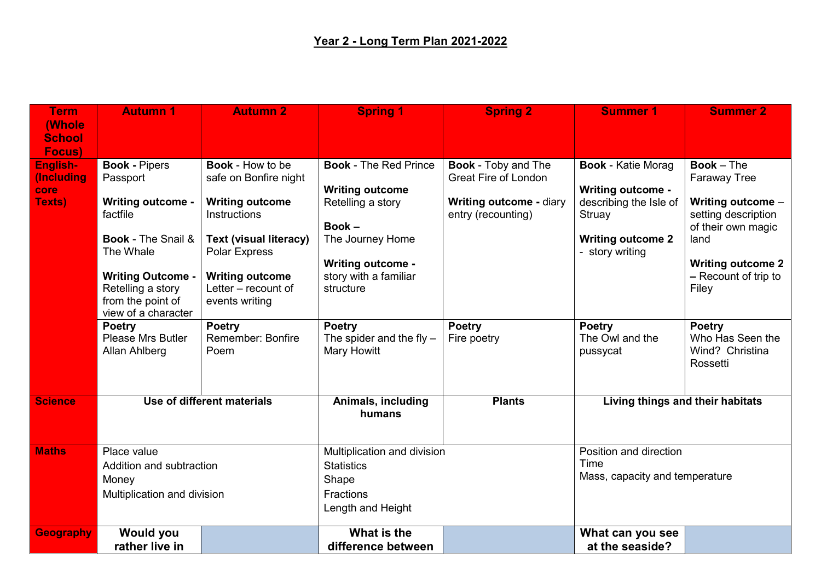| <b>Term</b>      | <b>Autumn 1</b>                   | <b>Autumn 2</b>               | <b>Spring 1</b>              | <b>Spring 2</b>                | <b>Summer 1</b>                        | <b>Summer 2</b>             |
|------------------|-----------------------------------|-------------------------------|------------------------------|--------------------------------|----------------------------------------|-----------------------------|
| <b>(Whole</b>    |                                   |                               |                              |                                |                                        |                             |
| <b>School</b>    |                                   |                               |                              |                                |                                        |                             |
| Focus)           |                                   |                               |                              |                                |                                        |                             |
| English-         | <b>Book - Pipers</b>              | <b>Book - How to be</b>       | <b>Book - The Red Prince</b> | <b>Book - Toby and The</b>     | <b>Book - Katie Morag</b>              | $Book - The$                |
| (Including       | Passport                          | safe on Bonfire night         |                              | <b>Great Fire of London</b>    |                                        | <b>Faraway Tree</b>         |
| core             |                                   |                               | <b>Writing outcome</b>       |                                | <b>Writing outcome -</b>               |                             |
| Texts)           | <b>Writing outcome -</b>          | <b>Writing outcome</b>        | Retelling a story            | <b>Writing outcome - diary</b> | describing the Isle of                 | Writing outcome -           |
|                  | factfile                          | <b>Instructions</b>           | $Book -$                     | entry (recounting)             | Struay                                 | setting description         |
|                  | <b>Book - The Snail &amp;</b>     | <b>Text (visual literacy)</b> | The Journey Home             |                                | <b>Writing outcome 2</b>               | of their own magic<br>land  |
|                  | The Whale                         | Polar Express                 |                              |                                | - story writing                        |                             |
|                  |                                   |                               | <b>Writing outcome -</b>     |                                |                                        | <b>Writing outcome 2</b>    |
|                  | <b>Writing Outcome -</b>          | <b>Writing outcome</b>        | story with a familiar        |                                |                                        | - Recount of trip to        |
|                  | Retelling a story                 | Letter - recount of           | structure                    |                                |                                        | Filey                       |
|                  | from the point of                 | events writing                |                              |                                |                                        |                             |
|                  | view of a character               |                               |                              |                                |                                        |                             |
|                  | <b>Poetry</b>                     | <b>Poetry</b>                 | <b>Poetry</b>                | <b>Poetry</b>                  | <b>Poetry</b>                          | <b>Poetry</b>               |
|                  | <b>Please Mrs Butler</b>          | <b>Remember: Bonfire</b>      | The spider and the fly $-$   | Fire poetry                    | The Owl and the                        | Who Has Seen the            |
|                  | Allan Ahlberg                     | Poem                          | Mary Howitt                  |                                | pussycat                               | Wind? Christina<br>Rossetti |
|                  |                                   |                               |                              |                                |                                        |                             |
|                  |                                   |                               |                              |                                |                                        |                             |
| <b>Science</b>   | Use of different materials        |                               | Animals, including           | <b>Plants</b>                  | Living things and their habitats       |                             |
|                  |                                   |                               | humans                       |                                |                                        |                             |
|                  |                                   |                               |                              |                                |                                        |                             |
| <b>Maths</b>     | Place value                       |                               | Multiplication and division  |                                | Position and direction                 |                             |
|                  | Addition and subtraction<br>Money |                               | <b>Statistics</b><br>Shape   |                                | Time<br>Mass, capacity and temperature |                             |
|                  |                                   |                               |                              |                                |                                        |                             |
|                  |                                   |                               |                              |                                |                                        |                             |
|                  | Multiplication and division       |                               | Fractions                    |                                |                                        |                             |
|                  |                                   |                               | Length and Height            |                                |                                        |                             |
| <b>Geography</b> | <b>Would you</b>                  |                               | What is the                  |                                | What can you see                       |                             |
|                  | rather live in                    |                               | difference between           |                                | at the seaside?                        |                             |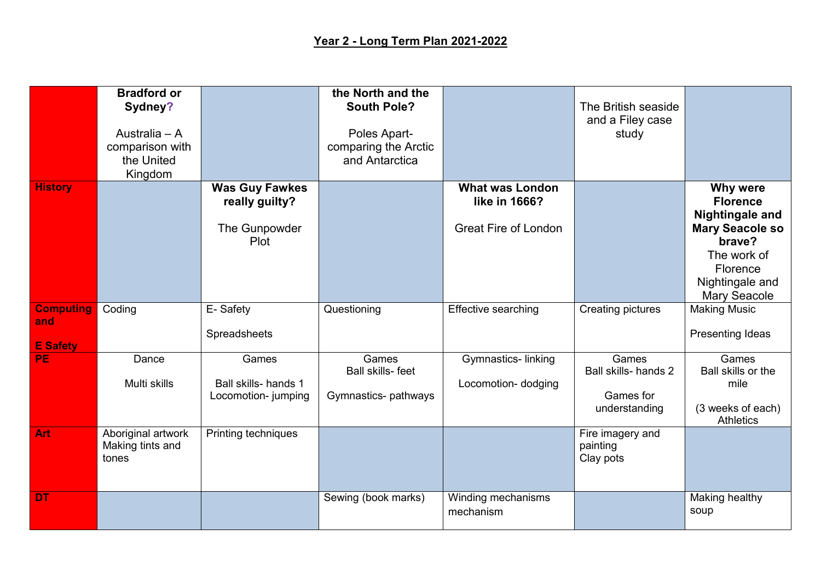## **Year 2 - Long Term Plan 2021-2022**

|                                            | <b>Bradford or</b><br>Sydney?<br>Australia - A<br>comparison with<br>the United<br>Kingdom |                                                                  | the North and the<br><b>South Pole?</b><br>Poles Apart-<br>comparing the Arctic<br>and Antarctica |                                                                        | The British seaside<br>and a Filey case<br>study            |                                                                                                                                                                |
|--------------------------------------------|--------------------------------------------------------------------------------------------|------------------------------------------------------------------|---------------------------------------------------------------------------------------------------|------------------------------------------------------------------------|-------------------------------------------------------------|----------------------------------------------------------------------------------------------------------------------------------------------------------------|
| <b>History</b>                             |                                                                                            | <b>Was Guy Fawkes</b><br>really guilty?<br>The Gunpowder<br>Plot |                                                                                                   | <b>What was London</b><br>like in 1666?<br><b>Great Fire of London</b> |                                                             | Why were<br><b>Florence</b><br><b>Nightingale and</b><br><b>Mary Seacole so</b><br>brave?<br>The work of<br>Florence<br>Nightingale and<br><b>Mary Seacole</b> |
| <b>Computing</b><br>and<br><b>E</b> Safety | Coding                                                                                     | E-Safety<br>Spreadsheets                                         | Questioning                                                                                       | <b>Effective searching</b>                                             | <b>Creating pictures</b>                                    | <b>Making Music</b><br>Presenting Ideas                                                                                                                        |
| <b>PE</b>                                  | Dance<br>Multi skills                                                                      | Games<br>Ball skills- hands 1<br>Locomotion- jumping             | Games<br><b>Ball skills-feet</b><br>Gymnastics- pathways                                          | Gymnastics-linking<br>Locomotion- dodging                              | Games<br>Ball skills- hands 2<br>Games for<br>understanding | Games<br>Ball skills or the<br>mile<br>(3 weeks of each)<br><b>Athletics</b>                                                                                   |
| Art                                        | Aboriginal artwork<br>Making tints and<br>tones                                            | Printing techniques                                              |                                                                                                   |                                                                        | Fire imagery and<br>painting<br>Clay pots                   |                                                                                                                                                                |
| <b>DT</b>                                  |                                                                                            |                                                                  | Sewing (book marks)                                                                               | Winding mechanisms<br>mechanism                                        |                                                             | Making healthy<br>soup                                                                                                                                         |